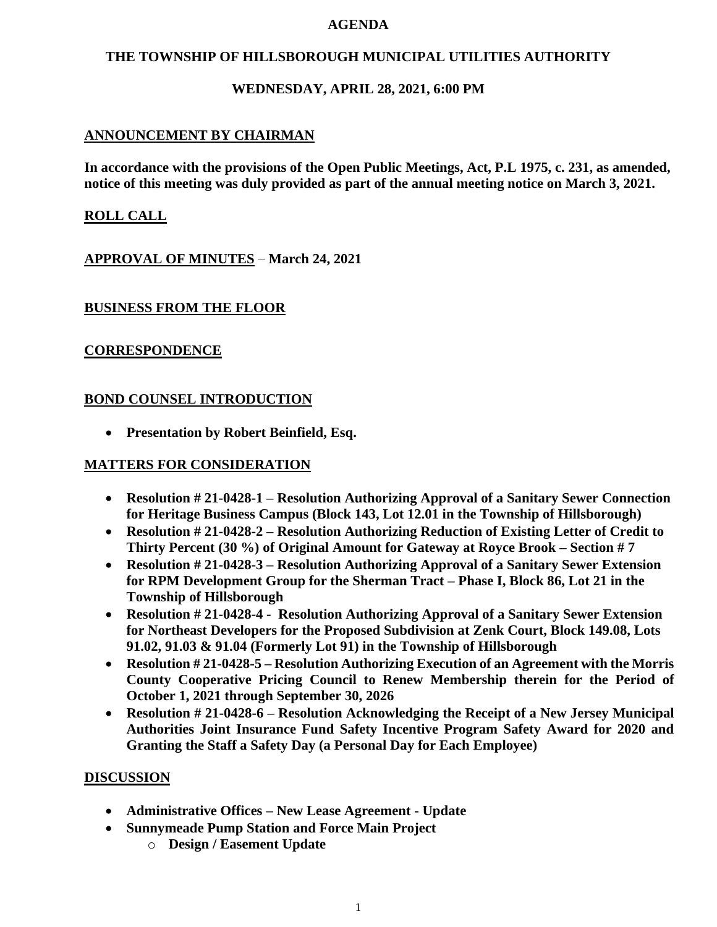#### **AGENDA**

### **THE TOWNSHIP OF HILLSBOROUGH MUNICIPAL UTILITIES AUTHORITY**

## **WEDNESDAY, APRIL 28, 2021, 6:00 PM**

## **ANNOUNCEMENT BY CHAIRMAN**

**In accordance with the provisions of the Open Public Meetings, Act, P.L 1975, c. 231, as amended, notice of this meeting was duly provided as part of the annual meeting notice on March 3, 2021.**

## **ROLL CALL**

**APPROVAL OF MINUTES** – **March 24, 2021**

### **BUSINESS FROM THE FLOOR**

### **CORRESPONDENCE**

### **BOND COUNSEL INTRODUCTION**

• **Presentation by Robert Beinfield, Esq.**

### **MATTERS FOR CONSIDERATION**

- **Resolution # 21-0428-1 – Resolution Authorizing Approval of a Sanitary Sewer Connection for Heritage Business Campus (Block 143, Lot 12.01 in the Township of Hillsborough)**
- **Resolution # 21-0428-2 – Resolution Authorizing Reduction of Existing Letter of Credit to Thirty Percent (30 %) of Original Amount for Gateway at Royce Brook – Section # 7**
- **Resolution # 21-0428-3 – Resolution Authorizing Approval of a Sanitary Sewer Extension for RPM Development Group for the Sherman Tract – Phase I, Block 86, Lot 21 in the Township of Hillsborough**
- **Resolution # 21-0428-4 Resolution Authorizing Approval of a Sanitary Sewer Extension for Northeast Developers for the Proposed Subdivision at Zenk Court, Block 149.08, Lots 91.02, 91.03 & 91.04 (Formerly Lot 91) in the Township of Hillsborough**
- **Resolution # 21-0428-5 – Resolution Authorizing Execution of an Agreement with the Morris County Cooperative Pricing Council to Renew Membership therein for the Period of October 1, 2021 through September 30, 2026**
- **Resolution # 21-0428-6 – Resolution Acknowledging the Receipt of a New Jersey Municipal Authorities Joint Insurance Fund Safety Incentive Program Safety Award for 2020 and Granting the Staff a Safety Day (a Personal Day for Each Employee)**

### **DISCUSSION**

- **Administrative Offices – New Lease Agreement - Update**
- **Sunnymeade Pump Station and Force Main Project**
	- o **Design / Easement Update**